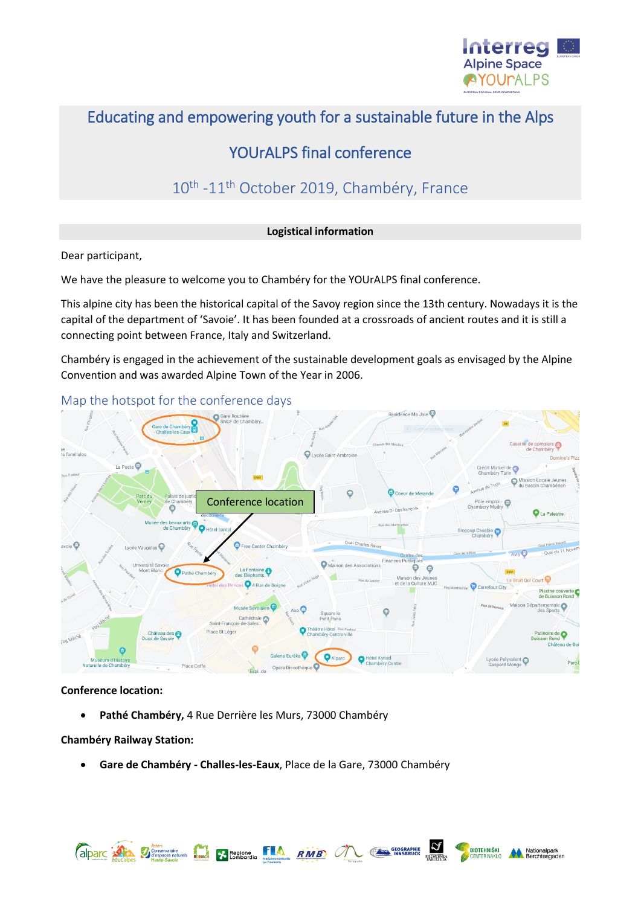

# Educating and empowering youth for a sustainable future in the Alps

# YOUrALPS final conference

# 10<sup>th</sup> -11<sup>th</sup> October 2019, Chambéry, France

#### **Logistical information**

Dear participant,

We have the pleasure to welcome you to Chambéry for the YOUrALPS final conference.

This alpine city has been the historical capital of the Savoy region since the 13th century. Nowadays it is the capital of the department of 'Savoie'. It has been founded at a crossroads of ancient routes and it is still a connecting point between France, Italy and Switzerland.

Chambéry is engaged in the achievement of the sustainable development goals as envisaged by the Alpine Convention and was awarded Alpine Town of the Year in 2006.



Map the hotspot for the conference days

#### **Conference location:**

• **Pathé Chambéry,** 4 Rue Derrière les Murs, 73000 Chambéry

**Chambéry Railway Station:**

• **Gare de Chambéry - Challes-les-Eaux**, Place de la Gare, 73000 Chambéry

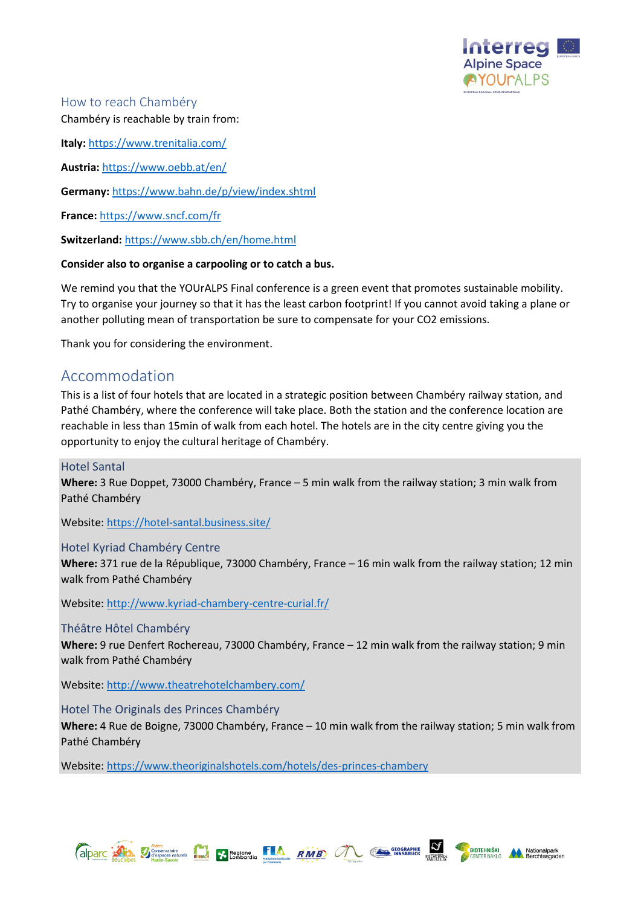

### How to reach Chambéry Chambéry is reachable by train from:

**Italy:** <https://www.trenitalia.com/>

**Austria:** <https://www.oebb.at/en/>

**Germany:** <https://www.bahn.de/p/view/index.shtml>

**France:** <https://www.sncf.com/fr>

**Switzerland:** <https://www.sbb.ch/en/home.html>

#### **Consider also to organise a carpooling or to catch a bus.**

We remind you that the YOUrALPS Final conference is a green event that promotes sustainable mobility. Try to organise your journey so that it has the least carbon footprint! If you cannot avoid taking a plane or another polluting mean of transportation be sure to compensate for your CO2 emissions.

Thank you for considering the environment.

# Accommodation

This is a list of four hotels that are located in a strategic position between Chambéry railway station, and Pathé Chambéry, where the conference will take place. Both the station and the conference location are reachable in less than 15min of walk from each hotel. The hotels are in the city centre giving you the opportunity to enjoy the cultural heritage of Chambéry.

### Hotel Santal

**Where:** 3 Rue Doppet, 73000 Chambéry, France – 5 min walk from the railway station; 3 min walk from Pathé Chambéry

Website:<https://hotel-santal.business.site/>

#### Hotel Kyriad Chambéry Centre

**Where:** 371 rue de la République, 73000 Chambéry, France – 16 min walk from the railway station; 12 min walk from Pathé Chambéry

Website:<http://www.kyriad-chambery-centre-curial.fr/>

#### Théâtre Hôtel Chambéry

**Where:** 9 rue Denfert Rochereau, 73000 Chambéry, France – 12 min walk from the railway station; 9 min walk from Pathé Chambéry

Website:<http://www.theatrehotelchambery.com/>

#### Hotel The Originals des Princes Chambéry

**Where:** 4 Rue de Boigne, 73000 Chambéry, France – 10 min walk from the railway station; 5 min walk from Pathé Chambéry

Website:<https://www.theoriginalshotels.com/hotels/des-princes-chambery>